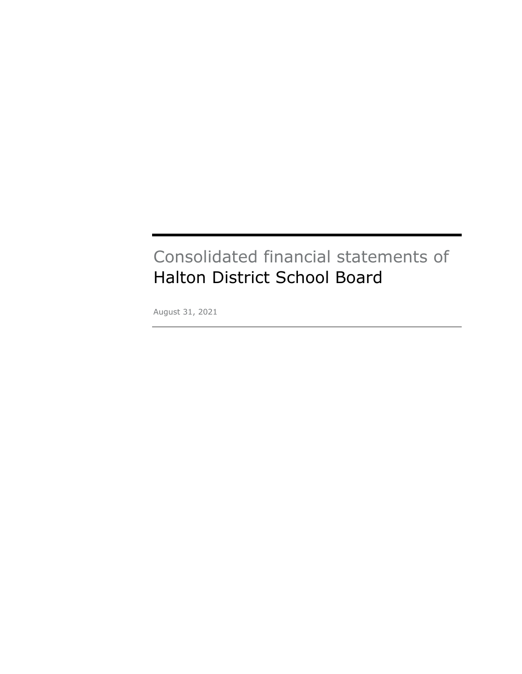# Consolidated financial statements of Halton District School Board

August 31, 2021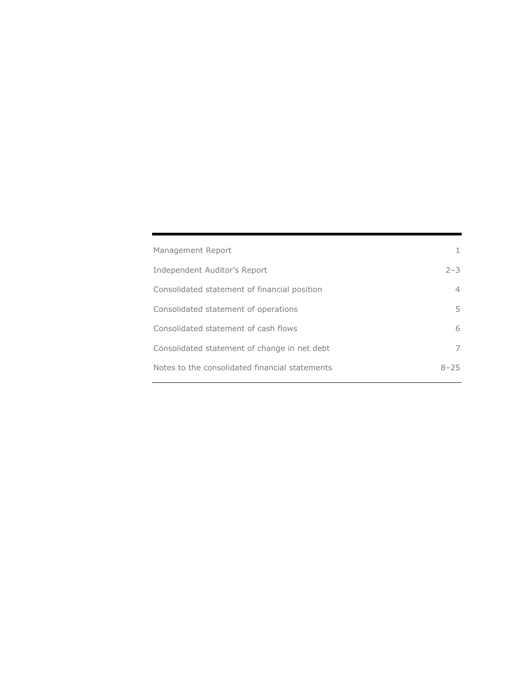| Management Report                              |                |
|------------------------------------------------|----------------|
| Independent Auditor's Report                   | $2 - 3$        |
| Consolidated statement of financial position   | $\overline{4}$ |
| Consolidated statement of operations           | 5.             |
| Consolidated statement of cash flows           | 6              |
| Consolidated statement of change in net debt   | 7              |
| Notes to the consolidated financial statements | $8 - 25$       |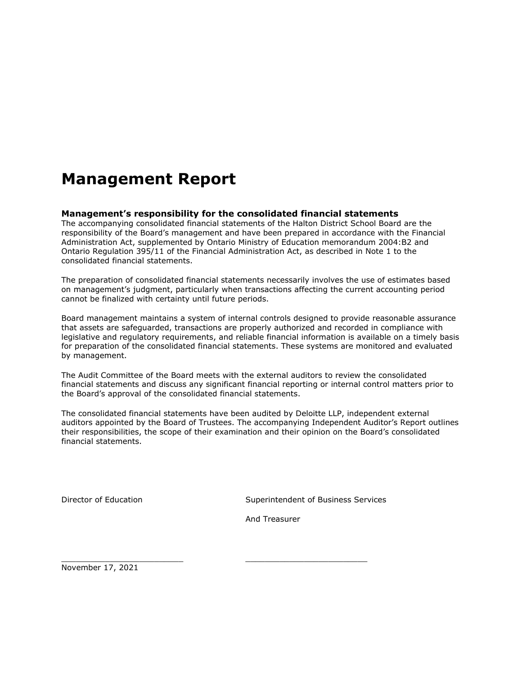# **Management Report**

#### **Management's responsibility for the consolidated financial statements**

The accompanying consolidated financial statements of the Halton District School Board are the responsibility of the Board's management and have been prepared in accordance with the Financial Administration Act, supplemented by Ontario Ministry of Education memorandum 2004:B2 and Ontario Regulation 395/11 of the Financial Administration Act, as described in Note 1 to the consolidated financial statements.

The preparation of consolidated financial statements necessarily involves the use of estimates based on management's judgment, particularly when transactions affecting the current accounting period cannot be finalized with certainty until future periods.

Board management maintains a system of internal controls designed to provide reasonable assurance that assets are safeguarded, transactions are properly authorized and recorded in compliance with legislative and regulatory requirements, and reliable financial information is available on a timely basis for preparation of the consolidated financial statements. These systems are monitored and evaluated by management.

The Audit Committee of the Board meets with the external auditors to review the consolidated financial statements and discuss any significant financial reporting or internal control matters prior to the Board's approval of the consolidated financial statements.

The consolidated financial statements have been audited by Deloitte LLP, independent external auditors appointed by the Board of Trustees. The accompanying Independent Auditor's Report outlines their responsibilities, the scope of their examination and their opinion on the Board's consolidated financial statements.

Director of Education **Superintendent of Business Services** Services

And Treasurer

\_\_\_\_\_\_\_\_\_\_\_\_\_\_\_\_\_\_\_\_\_\_\_\_\_ \_\_\_\_\_\_\_\_\_\_\_\_\_\_\_\_\_\_\_\_\_\_\_\_\_

November 17, 2021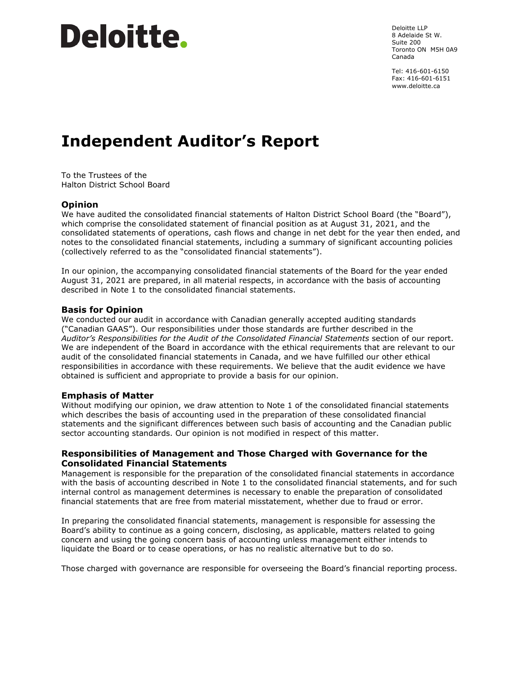# Deloitte.

Deloitte LLP 8 Adelaide St W. Suite 200 Toronto ON M5H 0A9 Canada

Tel: 416-601-6150 Fax: 416-601-6151 www.deloitte.ca

# **Independent Auditor's Report**

To the Trustees of the Halton District School Board

#### **Opinion**

We have audited the consolidated financial statements of Halton District School Board (the "Board"), which comprise the consolidated statement of financial position as at August 31, 2021, and the consolidated statements of operations, cash flows and change in net debt for the year then ended, and notes to the consolidated financial statements, including a summary of significant accounting policies (collectively referred to as the "consolidated financial statements").

In our opinion, the accompanying consolidated financial statements of the Board for the year ended August 31, 2021 are prepared, in all material respects, in accordance with the basis of accounting described in Note 1 to the consolidated financial statements.

#### **Basis for Opinion**

We conducted our audit in accordance with Canadian generally accepted auditing standards ("Canadian GAAS"). Our responsibilities under those standards are further described in the *Auditor's Responsibilities for the Audit of the Consolidated Financial Statements* section of our report. We are independent of the Board in accordance with the ethical requirements that are relevant to our audit of the consolidated financial statements in Canada, and we have fulfilled our other ethical responsibilities in accordance with these requirements. We believe that the audit evidence we have obtained is sufficient and appropriate to provide a basis for our opinion.

#### **Emphasis of Matter**

Without modifying our opinion, we draw attention to Note 1 of the consolidated financial statements which describes the basis of accounting used in the preparation of these consolidated financial statements and the significant differences between such basis of accounting and the Canadian public sector accounting standards. Our opinion is not modified in respect of this matter.

#### **Responsibilities of Management and Those Charged with Governance for the Consolidated Financial Statements**

Management is responsible for the preparation of the consolidated financial statements in accordance with the basis of accounting described in Note 1 to the consolidated financial statements, and for such internal control as management determines is necessary to enable the preparation of consolidated financial statements that are free from material misstatement, whether due to fraud or error.

In preparing the consolidated financial statements, management is responsible for assessing the Board's ability to continue as a going concern, disclosing, as applicable, matters related to going concern and using the going concern basis of accounting unless management either intends to liquidate the Board or to cease operations, or has no realistic alternative but to do so.

Those charged with governance are responsible for overseeing the Board's financial reporting process.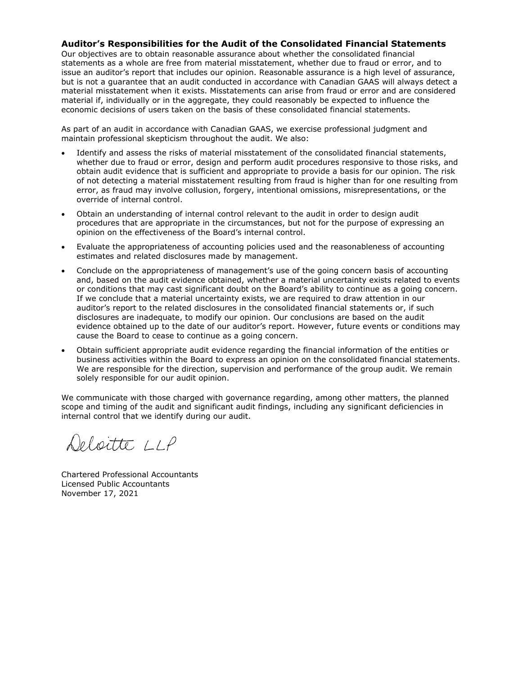#### **Auditor's Responsibilities for the Audit of the Consolidated Financial Statements**

Our objectives are to obtain reasonable assurance about whether the consolidated financial statements as a whole are free from material misstatement, whether due to fraud or error, and to issue an auditor's report that includes our opinion. Reasonable assurance is a high level of assurance, but is not a guarantee that an audit conducted in accordance with Canadian GAAS will always detect a material misstatement when it exists. Misstatements can arise from fraud or error and are considered material if, individually or in the aggregate, they could reasonably be expected to influence the economic decisions of users taken on the basis of these consolidated financial statements.

As part of an audit in accordance with Canadian GAAS, we exercise professional judgment and maintain professional skepticism throughout the audit. We also:

- Identify and assess the risks of material misstatement of the consolidated financial statements, whether due to fraud or error, design and perform audit procedures responsive to those risks, and obtain audit evidence that is sufficient and appropriate to provide a basis for our opinion. The risk of not detecting a material misstatement resulting from fraud is higher than for one resulting from error, as fraud may involve collusion, forgery, intentional omissions, misrepresentations, or the override of internal control.
- Obtain an understanding of internal control relevant to the audit in order to design audit procedures that are appropriate in the circumstances, but not for the purpose of expressing an opinion on the effectiveness of the Board's internal control.
- Evaluate the appropriateness of accounting policies used and the reasonableness of accounting estimates and related disclosures made by management.
- Conclude on the appropriateness of management's use of the going concern basis of accounting and, based on the audit evidence obtained, whether a material uncertainty exists related to events or conditions that may cast significant doubt on the Board's ability to continue as a going concern. If we conclude that a material uncertainty exists, we are required to draw attention in our auditor's report to the related disclosures in the consolidated financial statements or, if such disclosures are inadequate, to modify our opinion. Our conclusions are based on the audit evidence obtained up to the date of our auditor's report. However, future events or conditions may cause the Board to cease to continue as a going concern.
- Obtain sufficient appropriate audit evidence regarding the financial information of the entities or business activities within the Board to express an opinion on the consolidated financial statements. We are responsible for the direction, supervision and performance of the group audit. We remain solely responsible for our audit opinion.

We communicate with those charged with governance regarding, among other matters, the planned scope and timing of the audit and significant audit findings, including any significant deficiencies in internal control that we identify during our audit.

Deloitte LLP

Chartered Professional Accountants Licensed Public Accountants November 17, 2021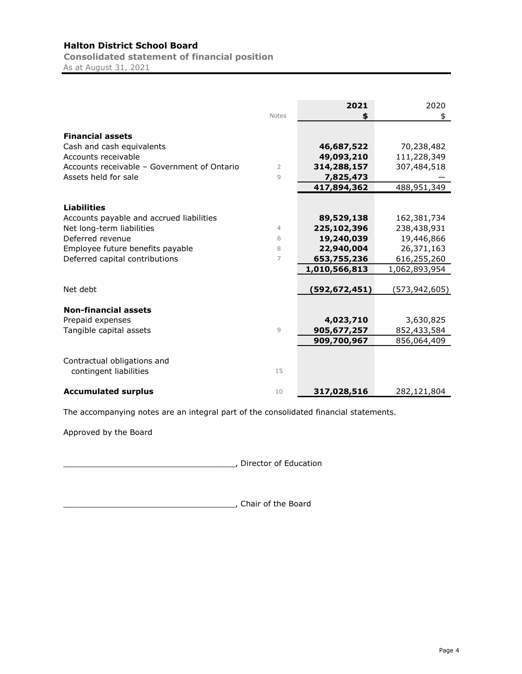**Consolidated statement of financial position** As at August 31, 2021

**2021** 2020 Notes **\$** \$ **Financial assets** Cash and cash equivalents<br>
Accounts receivable<br>
Accounts receivable<br> **49,093,210** 111,228,349 Accounts receivable<br>Accounts receivable – Government of Ontario<br>
2 **114,288,157** 107,484,518 Accounts receivable – Government of Ontario Assets held for sale **19 8 and 10 and 10 and 10 and 10 and 10 and 10 and 10 and 10 and 10 and 10 and 10 and 10 and 10 and 10 and 10 and 10 and 10 and 10 and 10 and 10 and 10 and 10 and 10 and 10 and 10 and 10 and 10 and 10 417,894,362** 488,951,349 **Liabilities** Accounts payable and accrued liabilities **89,529,138** 162,381,734 Net long-term liabilities 4 **225,102,396** 238,438,931 Deferred revenue 6 **19,240,039** 19,446,866 Employee future benefits payable 8 **22,940,004** 26,371,163 Deferred capital contributions 7 **653,755,236** 616,255,260 **1,010,566,813** 1,062,893,954 Net debt **(592,672,451)** (573,942,605) **Non-financial assets** Prepaid expenses **4,023,710** 3,630,825 Tangible capital assets 9 **905,677,257** 852,433,584  **909,700,967** 856,064,409 Contractual obligations and contingent liabilities 15 **Accumulated surplus** 10 **317,028,516** 282,121,804

The accompanying notes are an integral part of the consolidated financial statements.

Approved by the Board

\_\_\_\_\_\_\_\_\_\_\_\_\_\_\_\_\_\_\_\_\_\_\_\_\_\_\_\_\_\_\_\_\_\_\_, Director of Education

\_\_\_\_\_\_\_\_\_\_\_\_\_\_\_\_\_\_\_\_\_\_\_\_\_\_\_\_\_\_\_\_\_\_\_, Chair of the Board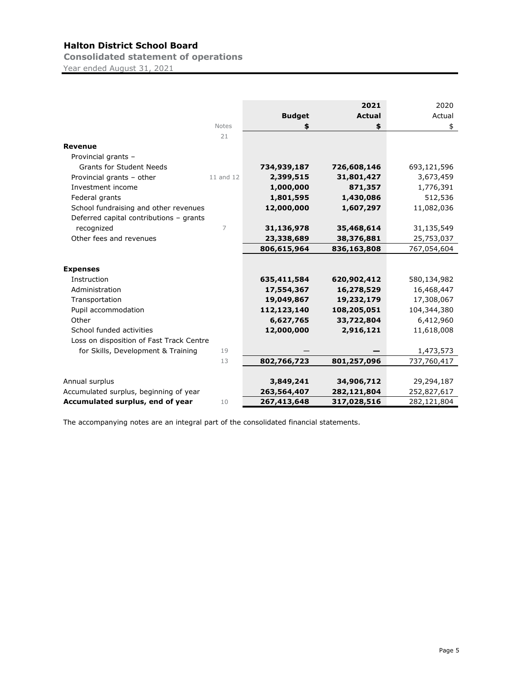**Consolidated statement of operations**

Year ended August 31, 2021

|                                          |              |               | 2021          | 2020        |
|------------------------------------------|--------------|---------------|---------------|-------------|
|                                          |              | <b>Budget</b> | <b>Actual</b> | Actual      |
|                                          | <b>Notes</b> | \$            | \$            | \$          |
|                                          | 21           |               |               |             |
| Revenue                                  |              |               |               |             |
| Provincial grants -                      |              |               |               |             |
| <b>Grants for Student Needs</b>          |              | 734,939,187   | 726,608,146   | 693,121,596 |
| Provincial grants - other                | 11 and 12    | 2,399,515     | 31,801,427    | 3,673,459   |
| Investment income                        |              | 1,000,000     | 871,357       | 1,776,391   |
| Federal grants                           |              | 1,801,595     | 1,430,086     | 512,536     |
| School fundraising and other revenues    |              | 12,000,000    | 1,607,297     | 11,082,036  |
| Deferred capital contributions - grants  |              |               |               |             |
| recognized                               | 7            | 31,136,978    | 35,468,614    | 31,135,549  |
| Other fees and revenues                  |              | 23,338,689    | 38,376,881    | 25,753,037  |
|                                          |              | 806,615,964   | 836,163,808   | 767,054,604 |
|                                          |              |               |               |             |
| <b>Expenses</b>                          |              |               |               |             |
| Instruction                              |              | 635,411,584   | 620,902,412   | 580,134,982 |
| Administration                           |              | 17,554,367    | 16,278,529    | 16,468,447  |
| Transportation                           |              | 19,049,867    | 19,232,179    | 17,308,067  |
| Pupil accommodation                      |              | 112,123,140   | 108,205,051   | 104,344,380 |
| Other                                    |              | 6,627,765     | 33,722,804    | 6,412,960   |
| School funded activities                 |              | 12,000,000    | 2,916,121     | 11,618,008  |
| Loss on disposition of Fast Track Centre |              |               |               |             |
| for Skills, Development & Training       | 19           |               |               | 1,473,573   |
|                                          | 13           | 802,766,723   | 801,257,096   | 737,760,417 |
|                                          |              |               |               |             |
| Annual surplus                           |              | 3,849,241     | 34,906,712    | 29,294,187  |
| Accumulated surplus, beginning of year   |              | 263,564,407   | 282,121,804   | 252,827,617 |
| Accumulated surplus, end of year         | 10           | 267,413,648   | 317,028,516   | 282,121,804 |

The accompanying notes are an integral part of the consolidated financial statements.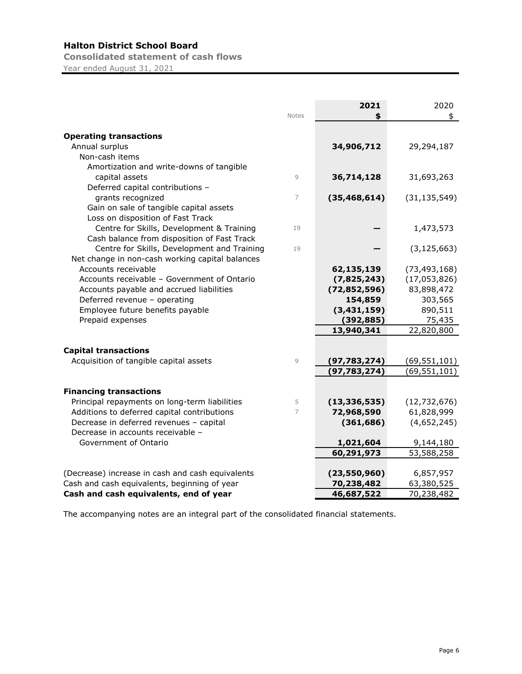**Consolidated statement of cash flows** Year ended August 31, 2021

|                                                                                        |              | 2021                     | 2020                      |
|----------------------------------------------------------------------------------------|--------------|--------------------------|---------------------------|
|                                                                                        | <b>Notes</b> | \$                       | \$                        |
|                                                                                        |              |                          |                           |
| <b>Operating transactions</b>                                                          |              |                          |                           |
| Annual surplus                                                                         |              | 34,906,712               | 29,294,187                |
| Non-cash items                                                                         |              |                          |                           |
| Amortization and write-downs of tangible                                               |              |                          |                           |
| capital assets                                                                         | 9            | 36,714,128               | 31,693,263                |
| Deferred capital contributions -                                                       |              |                          |                           |
| grants recognized                                                                      | 7            | (35, 468, 614)           | (31, 135, 549)            |
| Gain on sale of tangible capital assets                                                |              |                          |                           |
| Loss on disposition of Fast Track                                                      |              |                          |                           |
| Centre for Skills, Development & Training                                              | 19           |                          | 1,473,573                 |
| Cash balance from disposition of Fast Track                                            |              |                          |                           |
| Centre for Skills, Development and Training                                            | 19           |                          | (3, 125, 663)             |
| Net change in non-cash working capital balances                                        |              |                          |                           |
| Accounts receivable                                                                    |              | 62,135,139               | (73, 493, 168)            |
| Accounts receivable - Government of Ontario                                            |              | (7,825,243)              | (17,053,826)              |
| Accounts payable and accrued liabilities                                               |              | (72, 852, 596)           | 83,898,472                |
| Deferred revenue - operating                                                           |              | 154,859                  | 303,565                   |
| Employee future benefits payable                                                       |              | (3,431,159)              | 890,511                   |
| Prepaid expenses                                                                       |              | (392, 885)               | 75,435                    |
|                                                                                        |              | 13,940,341               | 22,820,800                |
|                                                                                        |              |                          |                           |
| <b>Capital transactions</b>                                                            |              |                          |                           |
| Acquisition of tangible capital assets                                                 | $\mathsf{G}$ | (97, 783, 274)           | (69, 551, 101)            |
|                                                                                        |              | (97, 783, 274)           | (69, 551, 101)            |
|                                                                                        |              |                          |                           |
| <b>Financing transactions</b>                                                          |              |                          |                           |
| Principal repayments on long-term liabilities                                          | 5<br>7       | (13, 336, 535)           | (12, 732, 676)            |
| Additions to deferred capital contributions<br>Decrease in deferred revenues - capital |              | 72,968,590<br>(361, 686) | 61,828,999<br>(4,652,245) |
| Decrease in accounts receivable -                                                      |              |                          |                           |
| Government of Ontario                                                                  |              |                          | 9,144,180                 |
|                                                                                        |              | 1,021,604                |                           |
|                                                                                        |              | 60,291,973               | 53,588,258                |
| (Decrease) increase in cash and cash equivalents                                       |              | (23, 550, 960)           | 6,857,957                 |
| Cash and cash equivalents, beginning of year                                           |              | 70,238,482               | 63,380,525                |
| Cash and cash equivalents, end of year                                                 |              | 46,687,522               | 70,238,482                |

The accompanying notes are an integral part of the consolidated financial statements.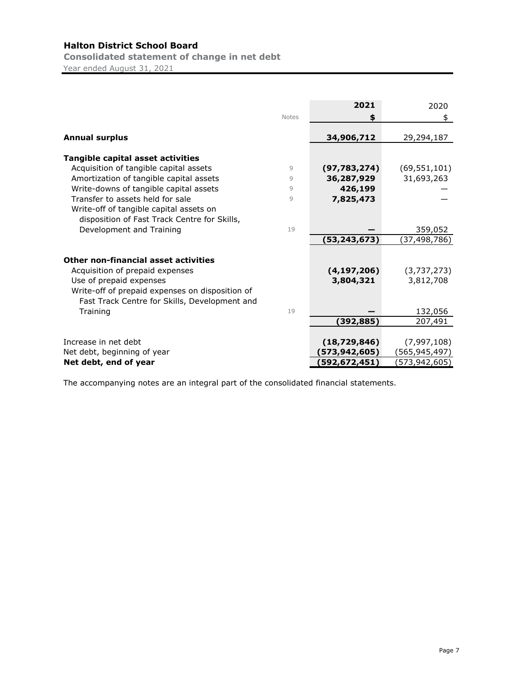**Consolidated statement of change in net debt**

Year ended August 31, 2021

|                                                 |              | 2021            | 2020               |
|-------------------------------------------------|--------------|-----------------|--------------------|
|                                                 | <b>Notes</b> | \$              | \$                 |
|                                                 |              |                 |                    |
| <b>Annual surplus</b>                           |              | 34,906,712      | 29,294,187         |
| Tangible capital asset activities               |              |                 |                    |
| Acquisition of tangible capital assets          | 9            | (97, 783, 274)  | (69, 551, 101)     |
| Amortization of tangible capital assets         | 9            | 36,287,929      | 31,693,263         |
| Write-downs of tangible capital assets          | 9            | 426,199         |                    |
| Transfer to assets held for sale                | 9            | 7,825,473       |                    |
| Write-off of tangible capital assets on         |              |                 |                    |
| disposition of Fast Track Centre for Skills,    |              |                 |                    |
| Development and Training                        | 19           |                 | 359,052            |
|                                                 |              | (53,243,673)    | (37,498,786)       |
|                                                 |              |                 |                    |
| Other non-financial asset activities            |              |                 |                    |
| Acquisition of prepaid expenses                 |              | (4, 197, 206)   | (3,737,273)        |
| Use of prepaid expenses                         |              | 3,804,321       | 3,812,708          |
| Write-off of prepaid expenses on disposition of |              |                 |                    |
| Fast Track Centre for Skills, Development and   | 19           |                 |                    |
| Training                                        |              |                 | 132,056<br>207,491 |
|                                                 |              | (392,885)       |                    |
| Increase in net debt                            |              | (18, 729, 846)  | (7,997,108)        |
| Net debt, beginning of year                     |              | (573, 942, 605) | (565,945,497)      |
| Net debt, end of year                           |              | (592,672,451)   | (573,942,605)      |

The accompanying notes are an integral part of the consolidated financial statements.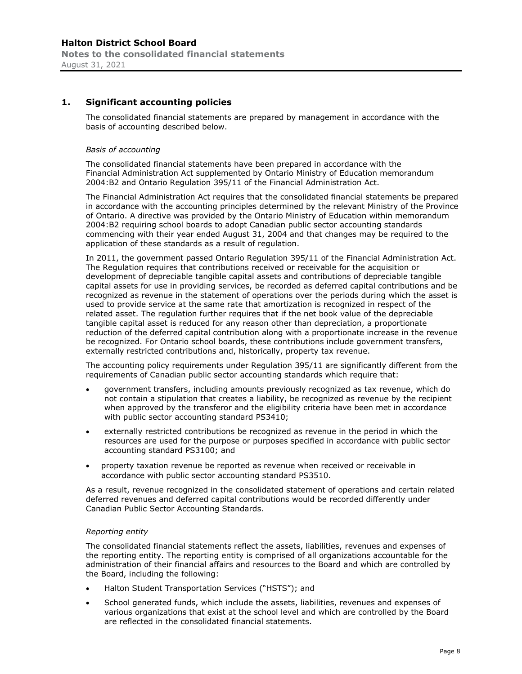# **1. Significant accounting policies**

The consolidated financial statements are prepared by management in accordance with the basis of accounting described below.

#### *Basis of accounting*

The consolidated financial statements have been prepared in accordance with the Financial Administration Act supplemented by Ontario Ministry of Education memorandum 2004:B2 and Ontario Regulation 395/11 of the Financial Administration Act.

The Financial Administration Act requires that the consolidated financial statements be prepared in accordance with the accounting principles determined by the relevant Ministry of the Province of Ontario. A directive was provided by the Ontario Ministry of Education within memorandum 2004:B2 requiring school boards to adopt Canadian public sector accounting standards commencing with their year ended August 31, 2004 and that changes may be required to the application of these standards as a result of regulation.

In 2011, the government passed Ontario Regulation 395/11 of the Financial Administration Act. The Regulation requires that contributions received or receivable for the acquisition or development of depreciable tangible capital assets and contributions of depreciable tangible capital assets for use in providing services, be recorded as deferred capital contributions and be recognized as revenue in the statement of operations over the periods during which the asset is used to provide service at the same rate that amortization is recognized in respect of the related asset. The regulation further requires that if the net book value of the depreciable tangible capital asset is reduced for any reason other than depreciation, a proportionate reduction of the deferred capital contribution along with a proportionate increase in the revenue be recognized. For Ontario school boards, these contributions include government transfers, externally restricted contributions and, historically, property tax revenue.

The accounting policy requirements under Regulation 395/11 are significantly different from the requirements of Canadian public sector accounting standards which require that:

- government transfers, including amounts previously recognized as tax revenue, which do not contain a stipulation that creates a liability, be recognized as revenue by the recipient when approved by the transferor and the eligibility criteria have been met in accordance with public sector accounting standard PS3410;
- externally restricted contributions be recognized as revenue in the period in which the resources are used for the purpose or purposes specified in accordance with public sector accounting standard PS3100; and
- property taxation revenue be reported as revenue when received or receivable in accordance with public sector accounting standard PS3510.

As a result, revenue recognized in the consolidated statement of operations and certain related deferred revenues and deferred capital contributions would be recorded differently under Canadian Public Sector Accounting Standards.

#### *Reporting entity*

The consolidated financial statements reflect the assets, liabilities, revenues and expenses of the reporting entity. The reporting entity is comprised of all organizations accountable for the administration of their financial affairs and resources to the Board and which are controlled by the Board, including the following:

- Halton Student Transportation Services ("HSTS"); and
- School generated funds, which include the assets, liabilities, revenues and expenses of various organizations that exist at the school level and which are controlled by the Board are reflected in the consolidated financial statements.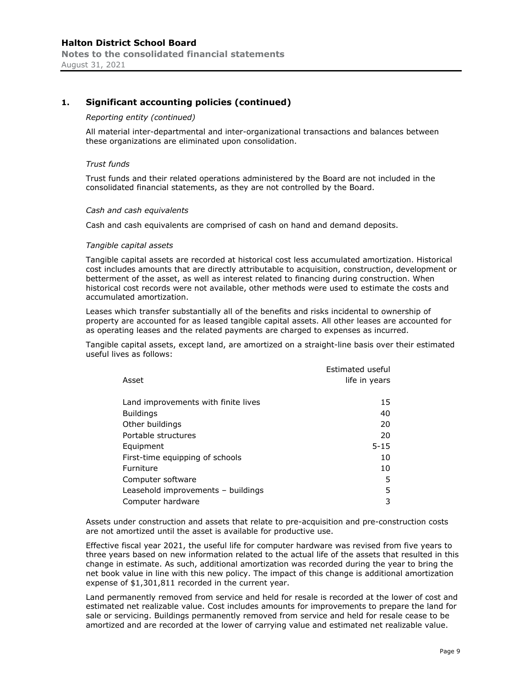#### *Reporting entity (continued)*

All material inter-departmental and inter-organizational transactions and balances between these organizations are eliminated upon consolidation.

#### *Trust funds*

Trust funds and their related operations administered by the Board are not included in the consolidated financial statements, as they are not controlled by the Board.

#### *Cash and cash equivalents*

Cash and cash equivalents are comprised of cash on hand and demand deposits.

#### *Tangible capital assets*

Tangible capital assets are recorded at historical cost less accumulated amortization. Historical cost includes amounts that are directly attributable to acquisition, construction, development or betterment of the asset, as well as interest related to financing during construction. When historical cost records were not available, other methods were used to estimate the costs and accumulated amortization.

Leases which transfer substantially all of the benefits and risks incidental to ownership of property are accounted for as leased tangible capital assets. All other leases are accounted for as operating leases and the related payments are charged to expenses as incurred.

Tangible capital assets, except land, are amortized on a straight-line basis over their estimated useful lives as follows:

| Asset                               | Estimated useful<br>life in years |
|-------------------------------------|-----------------------------------|
| Land improvements with finite lives | 15                                |
| <b>Buildings</b>                    | 40                                |
| Other buildings                     | 20                                |
| Portable structures                 | 20                                |
| Equipment                           | $5 - 15$                          |
| First-time equipping of schools     | 10                                |
| Furniture                           | 10                                |
| Computer software                   | 5                                 |
| Leasehold improvements - buildings  | 5                                 |
| Computer hardware                   | 3                                 |

Assets under construction and assets that relate to pre-acquisition and pre-construction costs are not amortized until the asset is available for productive use.

Effective fiscal year 2021, the useful life for computer hardware was revised from five years to three years based on new information related to the actual life of the assets that resulted in this change in estimate. As such, additional amortization was recorded during the year to bring the net book value in line with this new policy. The impact of this change is additional amortization expense of \$1,301,811 recorded in the current year.

Land permanently removed from service and held for resale is recorded at the lower of cost and estimated net realizable value. Cost includes amounts for improvements to prepare the land for sale or servicing. Buildings permanently removed from service and held for resale cease to be amortized and are recorded at the lower of carrying value and estimated net realizable value.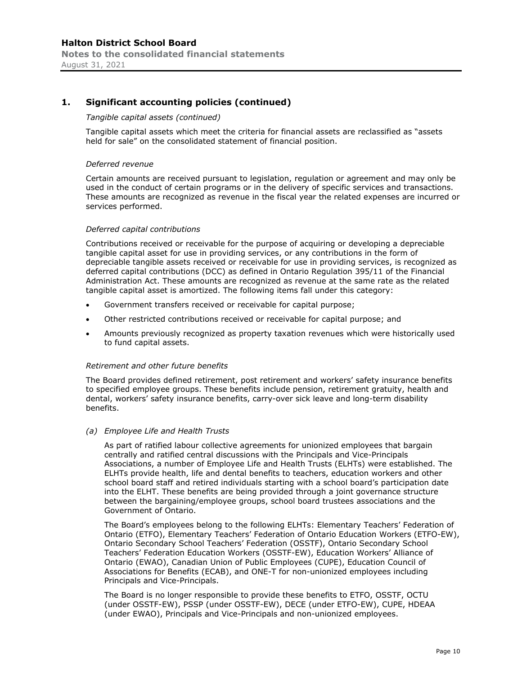#### *Tangible capital assets (continued)*

Tangible capital assets which meet the criteria for financial assets are reclassified as "assets held for sale" on the consolidated statement of financial position.

#### *Deferred revenue*

Certain amounts are received pursuant to legislation, regulation or agreement and may only be used in the conduct of certain programs or in the delivery of specific services and transactions. These amounts are recognized as revenue in the fiscal year the related expenses are incurred or services performed.

#### *Deferred capital contributions*

Contributions received or receivable for the purpose of acquiring or developing a depreciable tangible capital asset for use in providing services, or any contributions in the form of depreciable tangible assets received or receivable for use in providing services, is recognized as deferred capital contributions (DCC) as defined in Ontario Regulation 395/11 of the Financial Administration Act. These amounts are recognized as revenue at the same rate as the related tangible capital asset is amortized. The following items fall under this category:

- Government transfers received or receivable for capital purpose;
- Other restricted contributions received or receivable for capital purpose; and
- Amounts previously recognized as property taxation revenues which were historically used to fund capital assets.

#### *Retirement and other future benefits*

The Board provides defined retirement, post retirement and workers' safety insurance benefits to specified employee groups. These benefits include pension, retirement gratuity, health and dental, workers' safety insurance benefits, carry-over sick leave and long-term disability benefits.

#### *(a) Employee Life and Health Trusts*

As part of ratified labour collective agreements for unionized employees that bargain centrally and ratified central discussions with the Principals and Vice-Principals Associations, a number of Employee Life and Health Trusts (ELHTs) were established. The ELHTs provide health, life and dental benefits to teachers, education workers and other school board staff and retired individuals starting with a school board's participation date into the ELHT. These benefits are being provided through a joint governance structure between the bargaining/employee groups, school board trustees associations and the Government of Ontario.

The Board's employees belong to the following ELHTs: Elementary Teachers' Federation of Ontario (ETFO), Elementary Teachers' Federation of Ontario Education Workers (ETFO-EW), Ontario Secondary School Teachers' Federation (OSSTF), Ontario Secondary School Teachers' Federation Education Workers (OSSTF-EW), Education Workers' Alliance of Ontario (EWAO), Canadian Union of Public Employees (CUPE), Education Council of Associations for Benefits (ECAB), and ONE-T for non-unionized employees including Principals and Vice-Principals.

The Board is no longer responsible to provide these benefits to ETFO, OSSTF, OCTU (under OSSTF-EW), PSSP (under OSSTF-EW), DECE (under ETFO-EW), CUPE, HDEAA (under EWAO), Principals and Vice-Principals and non-unionized employees.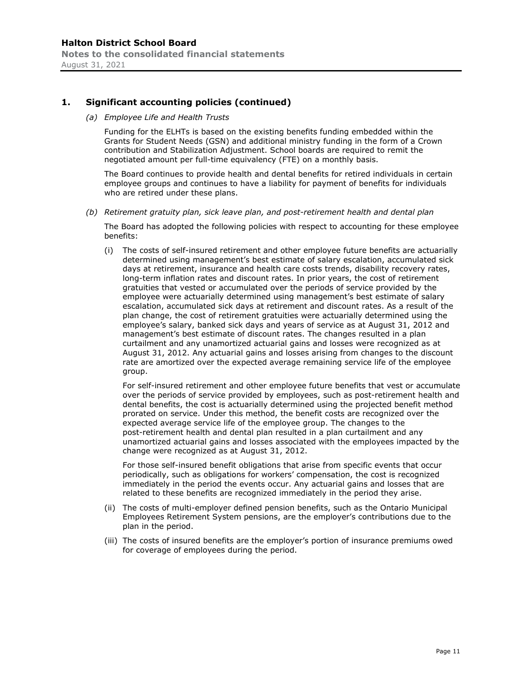*(a) Employee Life and Health Trusts* 

Funding for the ELHTs is based on the existing benefits funding embedded within the Grants for Student Needs (GSN) and additional ministry funding in the form of a Crown contribution and Stabilization Adjustment. School boards are required to remit the negotiated amount per full-time equivalency (FTE) on a monthly basis.

The Board continues to provide health and dental benefits for retired individuals in certain employee groups and continues to have a liability for payment of benefits for individuals who are retired under these plans.

*(b) Retirement gratuity plan, sick leave plan, and post-retirement health and dental plan* 

The Board has adopted the following policies with respect to accounting for these employee benefits:

(i) The costs of self-insured retirement and other employee future benefits are actuarially determined using management's best estimate of salary escalation, accumulated sick days at retirement, insurance and health care costs trends, disability recovery rates, long-term inflation rates and discount rates. In prior years, the cost of retirement gratuities that vested or accumulated over the periods of service provided by the employee were actuarially determined using management's best estimate of salary escalation, accumulated sick days at retirement and discount rates. As a result of the plan change, the cost of retirement gratuities were actuarially determined using the employee's salary, banked sick days and years of service as at August 31, 2012 and management's best estimate of discount rates. The changes resulted in a plan curtailment and any unamortized actuarial gains and losses were recognized as at August 31, 2012. Any actuarial gains and losses arising from changes to the discount rate are amortized over the expected average remaining service life of the employee group.

For self-insured retirement and other employee future benefits that vest or accumulate over the periods of service provided by employees, such as post-retirement health and dental benefits, the cost is actuarially determined using the projected benefit method prorated on service. Under this method, the benefit costs are recognized over the expected average service life of the employee group. The changes to the post-retirement health and dental plan resulted in a plan curtailment and any unamortized actuarial gains and losses associated with the employees impacted by the change were recognized as at August 31, 2012.

For those self-insured benefit obligations that arise from specific events that occur periodically, such as obligations for workers' compensation, the cost is recognized immediately in the period the events occur. Any actuarial gains and losses that are related to these benefits are recognized immediately in the period they arise.

- (ii) The costs of multi-employer defined pension benefits, such as the Ontario Municipal Employees Retirement System pensions, are the employer's contributions due to the plan in the period.
- (iii) The costs of insured benefits are the employer's portion of insurance premiums owed for coverage of employees during the period.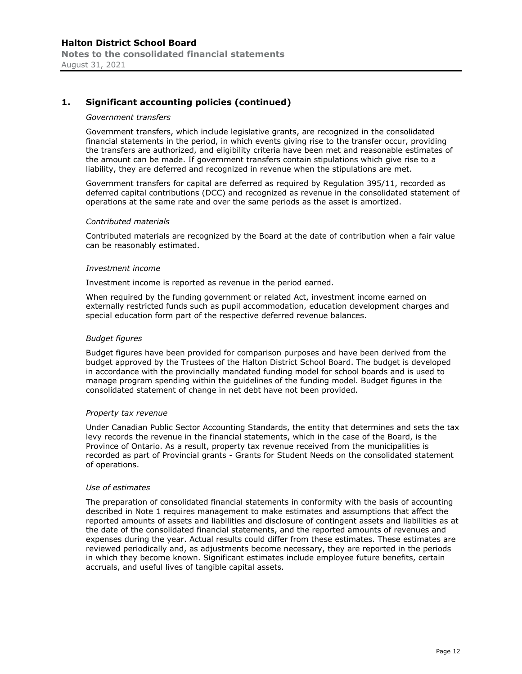#### *Government transfers*

Government transfers, which include legislative grants, are recognized in the consolidated financial statements in the period, in which events giving rise to the transfer occur, providing the transfers are authorized, and eligibility criteria have been met and reasonable estimates of the amount can be made. If government transfers contain stipulations which give rise to a liability, they are deferred and recognized in revenue when the stipulations are met.

Government transfers for capital are deferred as required by Regulation 395/11, recorded as deferred capital contributions (DCC) and recognized as revenue in the consolidated statement of operations at the same rate and over the same periods as the asset is amortized.

#### *Contributed materials*

Contributed materials are recognized by the Board at the date of contribution when a fair value can be reasonably estimated.

#### *Investment income*

Investment income is reported as revenue in the period earned.

When required by the funding government or related Act, investment income earned on externally restricted funds such as pupil accommodation, education development charges and special education form part of the respective deferred revenue balances.

#### *Budget figures*

Budget figures have been provided for comparison purposes and have been derived from the budget approved by the Trustees of the Halton District School Board. The budget is developed in accordance with the provincially mandated funding model for school boards and is used to manage program spending within the guidelines of the funding model. Budget figures in the consolidated statement of change in net debt have not been provided.

#### *Property tax revenue*

Under Canadian Public Sector Accounting Standards, the entity that determines and sets the tax levy records the revenue in the financial statements, which in the case of the Board, is the Province of Ontario. As a result, property tax revenue received from the municipalities is recorded as part of Provincial grants - Grants for Student Needs on the consolidated statement of operations.

#### *Use of estimates*

The preparation of consolidated financial statements in conformity with the basis of accounting described in Note 1 requires management to make estimates and assumptions that affect the reported amounts of assets and liabilities and disclosure of contingent assets and liabilities as at the date of the consolidated financial statements, and the reported amounts of revenues and expenses during the year. Actual results could differ from these estimates. These estimates are reviewed periodically and, as adjustments become necessary, they are reported in the periods in which they become known. Significant estimates include employee future benefits, certain accruals, and useful lives of tangible capital assets.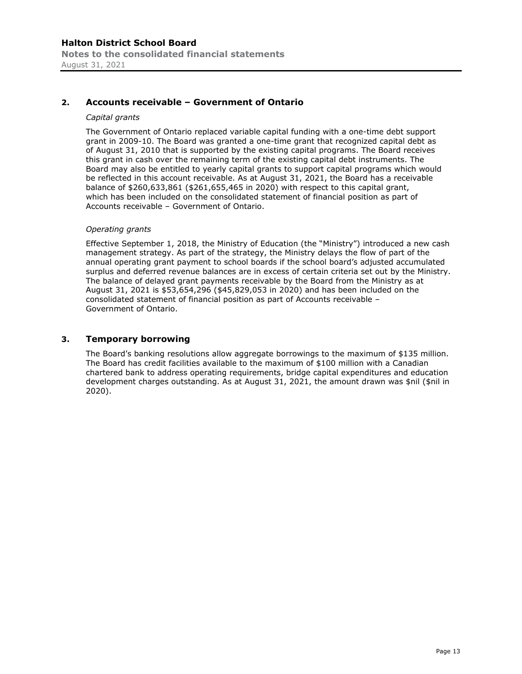# **2. Accounts receivable – Government of Ontario**

#### *Capital grants*

The Government of Ontario replaced variable capital funding with a one-time debt support grant in 2009-10. The Board was granted a one-time grant that recognized capital debt as of August 31, 2010 that is supported by the existing capital programs. The Board receives this grant in cash over the remaining term of the existing capital debt instruments. The Board may also be entitled to yearly capital grants to support capital programs which would be reflected in this account receivable. As at August 31, 2021, the Board has a receivable balance of \$260,633,861 (\$261,655,465 in 2020) with respect to this capital grant, which has been included on the consolidated statement of financial position as part of Accounts receivable – Government of Ontario.

#### *Operating grants*

Effective September 1, 2018, the Ministry of Education (the "Ministry") introduced a new cash management strategy. As part of the strategy, the Ministry delays the flow of part of the annual operating grant payment to school boards if the school board's adjusted accumulated surplus and deferred revenue balances are in excess of certain criteria set out by the Ministry. The balance of delayed grant payments receivable by the Board from the Ministry as at August 31, 2021 is \$53,654,296 (\$45,829,053 in 2020) and has been included on the consolidated statement of financial position as part of Accounts receivable – Government of Ontario.

#### **3. Temporary borrowing**

The Board's banking resolutions allow aggregate borrowings to the maximum of \$135 million. The Board has credit facilities available to the maximum of \$100 million with a Canadian chartered bank to address operating requirements, bridge capital expenditures and education development charges outstanding. As at August 31, 2021, the amount drawn was \$nil (\$nil in 2020).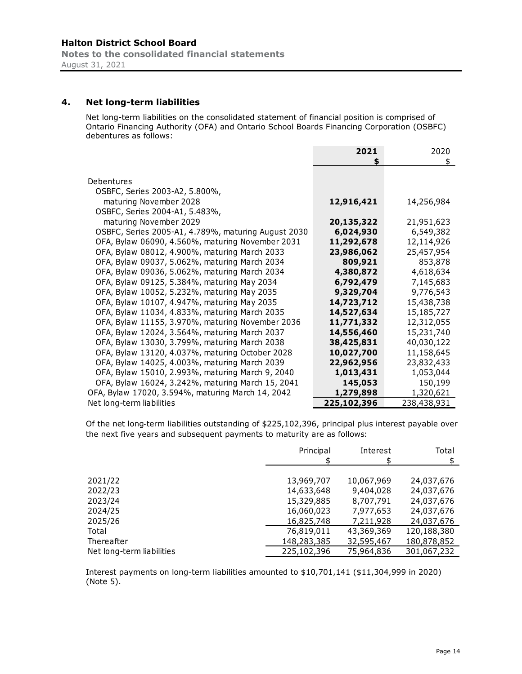**Notes to the consolidated financial statements**  August 31, 2021

# **4. Net long-term liabilities**

Net long-term liabilities on the consolidated statement of financial position is comprised of Ontario Financing Authority (OFA) and Ontario School Boards Financing Corporation (OSBFC) debentures as follows:

|                                                     | 2021        | 2020        |
|-----------------------------------------------------|-------------|-------------|
|                                                     | \$          | \$          |
| Debentures                                          |             |             |
| OSBFC, Series 2003-A2, 5.800%,                      |             |             |
| maturing November 2028                              | 12,916,421  | 14,256,984  |
| OSBFC, Series 2004-A1, 5.483%,                      |             |             |
| maturing November 2029                              | 20,135,322  | 21,951,623  |
| OSBFC, Series 2005-A1, 4.789%, maturing August 2030 | 6,024,930   | 6,549,382   |
| OFA, Bylaw 06090, 4.560%, maturing November 2031    | 11,292,678  | 12,114,926  |
| OFA, Bylaw 08012, 4.900%, maturing March 2033       | 23,986,062  | 25,457,954  |
| OFA, Bylaw 09037, 5.062%, maturing March 2034       | 809,921     | 853,878     |
| OFA, Bylaw 09036, 5.062%, maturing March 2034       | 4,380,872   | 4,618,634   |
| OFA, Bylaw 09125, 5.384%, maturing May 2034         | 6,792,479   | 7,145,683   |
| OFA, Bylaw 10052, 5.232%, maturing May 2035         | 9,329,704   | 9,776,543   |
| OFA, Bylaw 10107, 4.947%, maturing May 2035         | 14,723,712  | 15,438,738  |
| OFA, Bylaw 11034, 4.833%, maturing March 2035       | 14,527,634  | 15,185,727  |
| OFA, Bylaw 11155, 3.970%, maturing November 2036    | 11,771,332  | 12,312,055  |
| OFA, Bylaw 12024, 3.564%, maturing March 2037       | 14,556,460  | 15,231,740  |
| OFA, Bylaw 13030, 3.799%, maturing March 2038       | 38,425,831  | 40,030,122  |
| OFA, Bylaw 13120, 4.037%, maturing October 2028     | 10,027,700  | 11,158,645  |
| OFA, Bylaw 14025, 4.003%, maturing March 2039       | 22,962,956  | 23,832,433  |
| OFA, Bylaw 15010, 2.993%, maturing March 9, 2040    | 1,013,431   | 1,053,044   |
| OFA, Bylaw 16024, 3.242%, maturing March 15, 2041   | 145,053     | 150,199     |
| OFA, Bylaw 17020, 3.594%, maturing March 14, 2042   | 1,279,898   | 1,320,621   |
| Net long-term liabilities                           | 225,102,396 | 238,438,931 |

Of the net long-term liabilities outstanding of \$225,102,396, principal plus interest payable over the next five years and subsequent payments to maturity are as follows:

|                           | Principal   | Interest   | Total       |
|---------------------------|-------------|------------|-------------|
|                           |             |            |             |
|                           |             |            |             |
| 2021/22                   | 13,969,707  | 10,067,969 | 24,037,676  |
| 2022/23                   | 14,633,648  | 9,404,028  | 24,037,676  |
| 2023/24                   | 15,329,885  | 8,707,791  | 24,037,676  |
| 2024/25                   | 16,060,023  | 7,977,653  | 24,037,676  |
| 2025/26                   | 16,825,748  | 7,211,928  | 24,037,676  |
| Total                     | 76,819,011  | 43,369,369 | 120,188,380 |
| Thereafter                | 148,283,385 | 32,595,467 | 180,878,852 |
| Net long-term liabilities | 225,102,396 | 75,964,836 | 301,067,232 |

Interest payments on long-term liabilities amounted to \$10,701,141 (\$11,304,999 in 2020) (Note 5).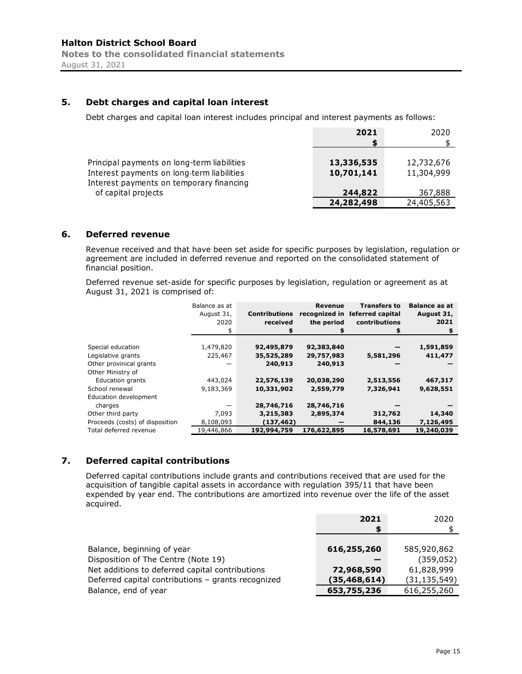# **5. Debt charges and capital loan interest**

Debt charges and capital loan interest includes principal and interest payments as follows:

|                                                                                                                                       | 2021                     | 2020                     |
|---------------------------------------------------------------------------------------------------------------------------------------|--------------------------|--------------------------|
| Principal payments on long-term liabilities<br>Interest payments on long-term liabilities<br>Interest payments on temporary financing | 13,336,535<br>10,701,141 | 12,732,676<br>11,304,999 |
| of capital projects                                                                                                                   | 244,822                  | 367,888                  |
|                                                                                                                                       | 24,282,498               | 24,405,563               |

#### **6. Deferred revenue**

Revenue received and that have been set aside for specific purposes by legislation, regulation or agreement are included in deferred revenue and reported on the consolidated statement of financial position.

Deferred revenue set-aside for specific purposes by legislation, regulation or agreement as at August 31, 2021 is comprised of:

|                                 | Balance as at<br>August 31,<br>2020<br>\$ | <b>Contributions</b><br>received<br>\$ | Revenue<br>recognized in<br>the period | <b>Transfers to</b><br>leferred capital<br>contributions<br>\$ | <b>Balance as at</b><br>August 31,<br>2021<br>\$ |
|---------------------------------|-------------------------------------------|----------------------------------------|----------------------------------------|----------------------------------------------------------------|--------------------------------------------------|
|                                 |                                           |                                        |                                        |                                                                |                                                  |
| Special education               | 1,479,820                                 | 92,495,879                             | 92,383,840                             |                                                                | 1,591,859                                        |
| Legislative grants              | 225,467                                   | 35,525,289                             | 29,757,983                             | 5,581,296                                                      | 411,477                                          |
| Other provinical grants         |                                           | 240,913                                | 240,913                                |                                                                |                                                  |
| Other Ministry of               |                                           |                                        |                                        |                                                                |                                                  |
| <b>Education grants</b>         | 443,024                                   | 22,576,139                             | 20,038,290                             | 2,513,556                                                      | 467,317                                          |
| School renewal                  | 9,183,369                                 | 10,331,902                             | 2,559,779                              | 7,326,941                                                      | 9,628,551                                        |
| Education development           |                                           |                                        |                                        |                                                                |                                                  |
| charges                         |                                           | 28,746,716                             | 28,746,716                             |                                                                |                                                  |
| Other third party               | 7,093                                     | 3,215,383                              | 2,895,374                              | 312,762                                                        | 14,340                                           |
| Proceeds (costs) of disposition | 8,108,093                                 | (137,462)                              |                                        | 844,136                                                        | 7,126,495                                        |
| Total deferred revenue          | 19,446,866                                | 192,994,759                            | 176,622,895                            | 16,578,691                                                     | 19,240,039                                       |

# **7. Deferred capital contributions**

Deferred capital contributions include grants and contributions received that are used for the acquisition of tangible capital assets in accordance with regulation 395/11 that have been expended by year end. The contributions are amortized into revenue over the life of the asset acquired.

|                                                    | 2021           | 2020           |
|----------------------------------------------------|----------------|----------------|
|                                                    | S              |                |
|                                                    |                |                |
| Balance, beginning of year                         | 616,255,260    | 585,920,862    |
| Disposition of The Centre (Note 19)                |                | (359, 052)     |
| Net additions to deferred capital contributions    | 72,968,590     | 61,828,999     |
| Deferred capital contributions - grants recognized | (35, 468, 614) | (31, 135, 549) |
| Balance, end of year                               | 653,755,236    | 616,255,260    |
|                                                    |                |                |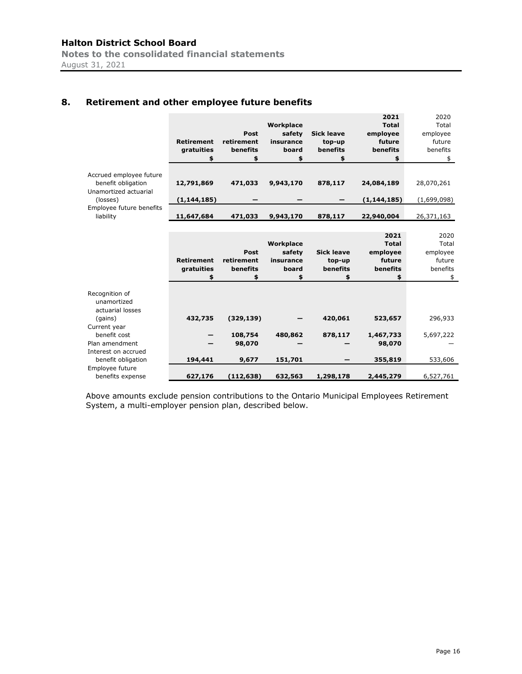**Notes to the consolidated financial statements**  August 31, 2021

# **8. Retirement and other employee future benefits**

|                                                                        |                   |             |           |                   | 2021          | 2020        |
|------------------------------------------------------------------------|-------------------|-------------|-----------|-------------------|---------------|-------------|
|                                                                        |                   |             | Workplace |                   | <b>Total</b>  | Total       |
|                                                                        |                   | <b>Post</b> | safety    | <b>Sick leave</b> | employee      | employee    |
|                                                                        | <b>Retirement</b> | retirement  | insurance | top-up            | future        | future      |
|                                                                        | gratuities        | benefits    | board     | benefits          | benefits      | benefits    |
|                                                                        | \$                | \$          | \$        | \$                | \$            | \$          |
| Accrued employee future<br>benefit obligation<br>Unamortized actuarial | 12,791,869        | 471,033     | 9,943,170 | 878,117           | 24,084,189    | 28,070,261  |
| (losses)                                                               | (1, 144, 185)     |             |           |                   | (1, 144, 185) | (1,699,098) |
| Employee future benefits                                               |                   |             |           |                   |               |             |
| liability                                                              | 11,647,684        | 471,033     | 9,943,170 | 878,117           | 22,940,004    | 26,371,163  |
|                                                                        |                   |             |           |                   |               |             |
|                                                                        |                   |             |           |                   | 2021          | 2020        |
|                                                                        |                   |             | Workplace |                   | <b>Total</b>  | Total       |
|                                                                        |                   | Post        | safety    | <b>Sick leave</b> | employee      | employee    |
|                                                                        | <b>Retirement</b> | retirement  | insurance | top-up            | future        | future      |
|                                                                        | gratuities        | benefits    | board     | benefits          | benefits      | benefits    |
|                                                                        | \$                | \$          | \$        | \$                | \$            | \$          |
|                                                                        |                   |             |           |                   |               |             |
| Recognition of<br>unamortized<br>actuarial losses                      |                   |             |           |                   |               |             |
| (gains)                                                                | 432,735           | (329, 139)  |           | 420,061           | 523,657       | 296,933     |
| Current year                                                           |                   |             |           |                   |               |             |
| benefit cost                                                           |                   | 108,754     | 480,862   | 878,117           | 1,467,733     | 5,697,222   |
| Plan amendment                                                         |                   | 98,070      |           |                   | 98,070        |             |
| Interest on accrued                                                    |                   |             |           |                   |               |             |
| benefit obligation                                                     | 194,441           | 9,677       | 151,701   |                   | 355,819       | 533,606     |
| Employee future                                                        |                   |             |           |                   |               |             |
| benefits expense                                                       | 627,176           | (112, 638)  | 632,563   | 1,298,178         | 2,445,279     | 6,527,761   |

Above amounts exclude pension contributions to the Ontario Municipal Employees Retirement System, a multi-employer pension plan, described below.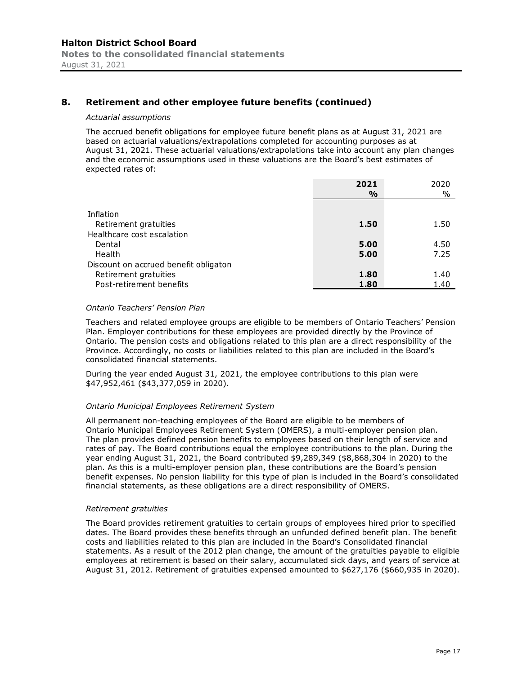# **8. Retirement and other employee future benefits (continued)**

#### *Actuarial assumptions*

The accrued benefit obligations for employee future benefit plans as at August 31, 2021 are based on actuarial valuations/extrapolations completed for accounting purposes as at August 31, 2021. These actuarial valuations/extrapolations take into account any plan changes and the economic assumptions used in these valuations are the Board's best estimates of expected rates of:

|                                       | 2021 | 2020 |
|---------------------------------------|------|------|
|                                       | %    | $\%$ |
| Inflation                             |      |      |
| Retirement gratuities                 | 1.50 | 1.50 |
| Healthcare cost escalation            |      |      |
| Dental                                | 5.00 | 4.50 |
| Health                                | 5.00 | 7.25 |
| Discount on accrued benefit obligaton |      |      |
| Retirement gratuities                 | 1.80 | 1.40 |
| Post-retirement benefits              | 1.80 | 1.40 |

#### *Ontario Teachers' Pension Plan*

Teachers and related employee groups are eligible to be members of Ontario Teachers' Pension Plan. Employer contributions for these employees are provided directly by the Province of Ontario. The pension costs and obligations related to this plan are a direct responsibility of the Province. Accordingly, no costs or liabilities related to this plan are included in the Board's consolidated financial statements.

During the year ended August 31, 2021, the employee contributions to this plan were \$47,952,461 (\$43,377,059 in 2020).

#### *Ontario Municipal Employees Retirement System*

All permanent non-teaching employees of the Board are eligible to be members of Ontario Municipal Employees Retirement System (OMERS), a multi-employer pension plan. The plan provides defined pension benefits to employees based on their length of service and rates of pay. The Board contributions equal the employee contributions to the plan. During the year ending August 31, 2021, the Board contributed \$9,289,349 (\$8,868,304 in 2020) to the plan. As this is a multi-employer pension plan, these contributions are the Board's pension benefit expenses. No pension liability for this type of plan is included in the Board's consolidated financial statements, as these obligations are a direct responsibility of OMERS.

#### *Retirement gratuities*

The Board provides retirement gratuities to certain groups of employees hired prior to specified dates. The Board provides these benefits through an unfunded defined benefit plan. The benefit costs and liabilities related to this plan are included in the Board's Consolidated financial statements. As a result of the 2012 plan change, the amount of the gratuities payable to eligible employees at retirement is based on their salary, accumulated sick days, and years of service at August 31, 2012. Retirement of gratuities expensed amounted to \$627,176 (\$660,935 in 2020).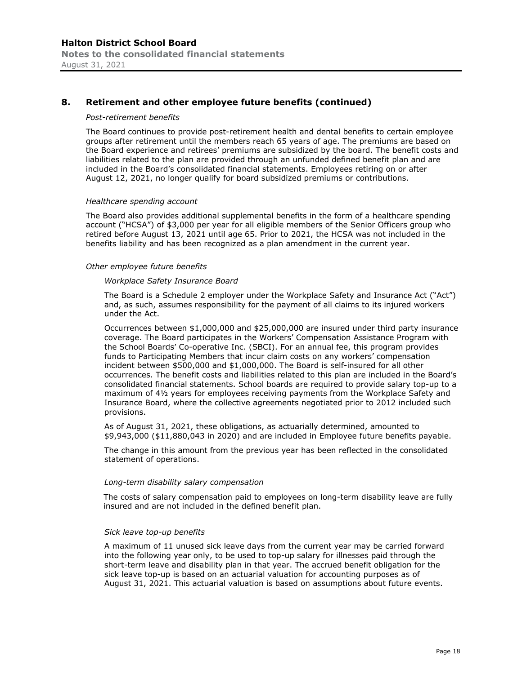# **8. Retirement and other employee future benefits (continued)**

#### *Post-retirement benefits*

The Board continues to provide post-retirement health and dental benefits to certain employee groups after retirement until the members reach 65 years of age. The premiums are based on the Board experience and retirees' premiums are subsidized by the board. The benefit costs and liabilities related to the plan are provided through an unfunded defined benefit plan and are included in the Board's consolidated financial statements. Employees retiring on or after August 12, 2021, no longer qualify for board subsidized premiums or contributions.

#### *Healthcare spending account*

The Board also provides additional supplemental benefits in the form of a healthcare spending account ("HCSA") of \$3,000 per year for all eligible members of the Senior Officers group who retired before August 13, 2021 until age 65. Prior to 2021, the HCSA was not included in the benefits liability and has been recognized as a plan amendment in the current year.

#### *Other employee future benefits*

#### *Workplace Safety Insurance Board*

The Board is a Schedule 2 employer under the Workplace Safety and Insurance Act ("Act") and, as such, assumes responsibility for the payment of all claims to its injured workers under the Act.

Occurrences between \$1,000,000 and \$25,000,000 are insured under third party insurance coverage. The Board participates in the Workers' Compensation Assistance Program with the School Boards' Co-operative Inc. (SBCI). For an annual fee, this program provides funds to Participating Members that incur claim costs on any workers' compensation incident between \$500,000 and \$1,000,000. The Board is self-insured for all other occurrences. The benefit costs and liabilities related to this plan are included in the Board's consolidated financial statements. School boards are required to provide salary top-up to a maximum of 4½ years for employees receiving payments from the Workplace Safety and Insurance Board, where the collective agreements negotiated prior to 2012 included such provisions.

As of August 31, 2021, these obligations, as actuarially determined, amounted to \$9,943,000 (\$11,880,043 in 2020) and are included in Employee future benefits payable.

The change in this amount from the previous year has been reflected in the consolidated statement of operations.

#### *Long-term disability salary compensation*

The costs of salary compensation paid to employees on long-term disability leave are fully insured and are not included in the defined benefit plan.

#### *Sick leave top-up benefits*

A maximum of 11 unused sick leave days from the current year may be carried forward into the following year only, to be used to top-up salary for illnesses paid through the short-term leave and disability plan in that year. The accrued benefit obligation for the sick leave top-up is based on an actuarial valuation for accounting purposes as of August 31, 2021. This actuarial valuation is based on assumptions about future events.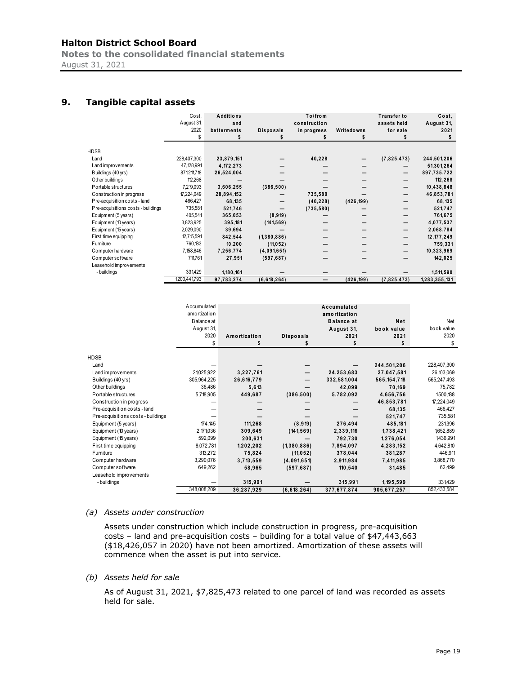**Notes to the consolidated financial statements**  August 31, 2021

# **9. Tangible capital assets**

|                                    | Cost,<br>August 31,<br>2020<br>\$ | <b>Additions</b><br>and<br>betterments | <b>Disposals</b> | To/from<br>construction<br>in progress | Writedowns | <b>Transfer to</b><br>assets held<br>for sale | Cost.<br>August 31,<br>2021<br>Ŝ |
|------------------------------------|-----------------------------------|----------------------------------------|------------------|----------------------------------------|------------|-----------------------------------------------|----------------------------------|
| HDSB                               |                                   |                                        |                  |                                        |            |                                               |                                  |
| Land                               | 228,407,300                       | 23,879,151                             |                  | 40,228                                 |            | (7,825,473)                                   | 244,501,206                      |
| Land improvements                  | 47,128,991                        | 4,172,273                              |                  |                                        |            |                                               | 51,301,264                       |
| Buildings (40 yrs)                 | 871,211,718                       | 26,524,004                             |                  |                                        |            |                                               | 897,735,722                      |
| Other buildings                    | 112,268                           |                                        |                  |                                        |            |                                               | 112,268                          |
| Portable structures                | 7,219,093                         | 3,606,255                              | (386, 500)       |                                        |            |                                               | 10,438,848                       |
| Construction in progress           | 17,224,049                        | 28,894,152                             |                  | 735,580                                |            |                                               | 46,853,781                       |
| Pre-acquisition costs - land       | 466,427                           | 68,135                                 |                  | (40, 228)                              | (426, 199) |                                               | 68,135                           |
| Pre-acquisitions costs - buildings | 735,581                           | 521,746                                |                  | (735, 580)                             |            |                                               | 521,747                          |
| Equipment (5 years)                | 405,541                           | 365,053                                | (8, 919)         |                                        |            |                                               | 761,675                          |
| Equipment (10 years)               | 3,823,925                         | 395,181                                | (141, 569)       |                                        |            |                                               | 4,077,537                        |
| Equipment (15 years)               | 2,029,090                         | 39,694                                 |                  |                                        |            |                                               | 2,068,784                        |
| First time equipping               | 12,715,591                        | 842,544                                | (1,380,886)      |                                        |            |                                               | 12, 177, 249                     |
| Furniture                          | 760,183                           | 10,200                                 | (11, 052)        |                                        |            |                                               | 759,331                          |
| Computer hardware                  | 7,158,846                         | 7,256,774                              | (4,091,651)      |                                        |            |                                               | 10,323,969                       |
| Computer software                  | 711,761                           | 27,951                                 | (597, 687)       |                                        |            |                                               | 142,025                          |
| Leasehold improvements             |                                   |                                        |                  |                                        |            |                                               |                                  |
| - buildings                        | 331,429                           | 1,180,161                              |                  |                                        |            |                                               | 1,511,590                        |
|                                    | 1,200,441,793                     | 97,783,274                             | (6, 618, 264)    |                                        | (426, 199) | (7,825,473)                                   | 1,283,355,131                    |

|                                    | Accumulated  |              |                  | Accumulated       |               |              |
|------------------------------------|--------------|--------------|------------------|-------------------|---------------|--------------|
|                                    | amortization |              |                  | amortization      |               |              |
|                                    | Balance at   |              |                  | <b>Balance at</b> | Net           | Net          |
|                                    | August 31,   |              |                  | August 31,        | book value    | book value   |
|                                    | 2020         | Amortization | <b>Disposals</b> | 2021              | 2021          | 2020         |
|                                    | \$           |              |                  |                   |               | \$           |
| <b>HDSB</b>                        |              |              |                  |                   |               |              |
| Land                               |              |              |                  |                   | 244,501,206   | 228,407,300  |
| Land improvements                  | 21,025,922   | 3,227,761    |                  | 24,253,683        | 27,047,581    | 26, 103, 069 |
| Buildings (40 yrs)                 | 305,964,225  | 26,616,779   |                  | 332,581,004       | 565, 154, 718 | 565,247,493  |
| Other buildings                    | 36,486       | 5,613        |                  | 42,099            | 70,169        | 75,782       |
| Portable structures                | 5,718,905    | 449,687      | (386, 500)       | 5,782,092         | 4,656,756     | 1,500,188    |
| Construction in progress           |              |              |                  |                   | 46,853,781    | 17,224,049   |
| Pre-acquisition costs - land       |              |              |                  |                   | 68,135        | 466,427      |
| Pre-acquisitions costs - buildings |              |              |                  |                   | 521,747       | 735,581      |
| Equipment (5 years)                | 174,145      | 111,268      | (8, 919)         | 276,494           | 485,181       | 231,396      |
| Equipment (10 years)               | 2, 171, 036  | 309,649      | (141, 569)       | 2,339,116         | 1,738,421     | 1,652,889    |
| Equipment (15 years)               | 592,099      | 200,631      |                  | 792,730           | 1,276,054     | 1436,991     |
| First time equipping               | 8,072,781    | 1,202,202    | (1,380,886)      | 7,894,097         | 4,283,152     | 4,642,810    |
| Furniture                          | 313,272      | 75,824       | (11, 052)        | 378,044           | 381,287       | 446,911      |
| Computer hardware                  | 3,290,076    | 3,713,559    | (4,091,651)      | 2,911,984         | 7,411,985     | 3,868,770    |
| Computer software                  | 649,262      |              |                  |                   |               | 62,499       |
|                                    |              | 58,965       | (597, 687)       | 110,540           | 31,485        |              |
| Leasehold improvements             |              |              |                  |                   |               |              |
| - buildings                        |              | 315,991      |                  | 315,991           | 1, 195, 599   | 331,429      |
|                                    | 348,008,209  | 36,287,929   | (6, 618, 264)    | 377,677,874       | 905,677,257   | 852,433,584  |

#### *(a) Assets under construction*

Assets under construction which include construction in progress, pre-acquisition costs – land and pre-acquisition costs – building for a total value of \$47,443,663 (\$18,426,057 in 2020) have not been amortized. Amortization of these assets will commence when the asset is put into service.

#### *(b) Assets held for sale*

As of August 31, 2021, \$7,825,473 related to one parcel of land was recorded as assets held for sale.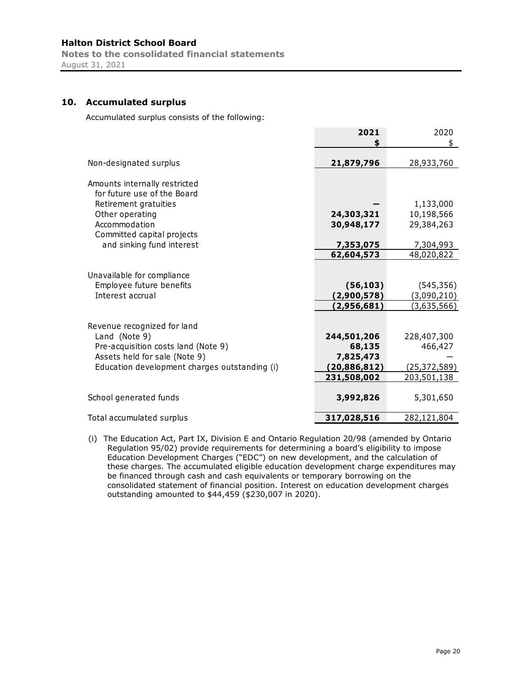**Notes to the consolidated financial statements**  August 31, 2021

# **10. Accumulated surplus**

Accumulated surplus consists of the following:

|                                               | 2021                          | 2020                          |
|-----------------------------------------------|-------------------------------|-------------------------------|
| Non-designated surplus                        | 21,879,796                    | 28,933,760                    |
| Amounts internally restricted                 |                               |                               |
| for future use of the Board                   |                               |                               |
| Retirement gratuities<br>Other operating      | 24,303,321                    | 1,133,000<br>10,198,566       |
| Accommodation                                 | 30,948,177                    | 29,384,263                    |
| Committed capital projects                    |                               |                               |
| and sinking fund interest                     | 7,353,075                     | 7,304,993                     |
|                                               | 62,604,573                    | 48,020,822                    |
| Unavailable for compliance                    |                               |                               |
| Employee future benefits                      | (56, 103)                     | (545, 356)                    |
| Interest accrual                              | (2,900,578)                   | (3,090,210)                   |
|                                               | (2,956,681)                   | <u>(3,635,566)</u>            |
| Revenue recognized for land                   |                               |                               |
| Land (Note 9)                                 | 244,501,206                   | 228,407,300                   |
| Pre-acquisition costs land (Note 9)           | 68,135                        | 466,427                       |
| Assets held for sale (Note 9)                 | 7,825,473                     |                               |
| Education development charges outstanding (i) | (20, 886, 812)<br>231,508,002 | (25, 372, 589)<br>203,501,138 |
|                                               |                               |                               |
| School generated funds                        | 3,992,826                     | 5,301,650                     |
| Total accumulated surplus                     | 317,028,516                   | 282,121,804                   |

(i) The Education Act, Part IX, Division E and Ontario Regulation 20/98 (amended by Ontario Regulation 95/02) provide requirements for determining a board's eligibility to impose Education Development Charges ("EDC") on new development, and the calculation of these charges. The accumulated eligible education development charge expenditures may be financed through cash and cash equivalents or temporary borrowing on the consolidated statement of financial position. Interest on education development charges outstanding amounted to \$44,459 (\$230,007 in 2020).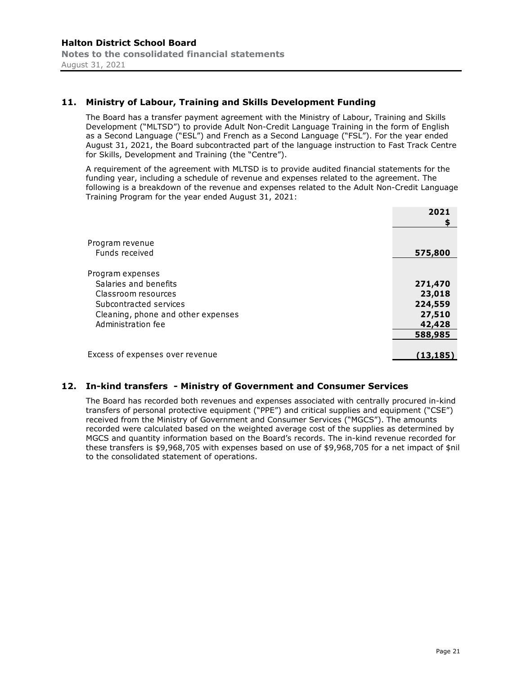# **11. Ministry of Labour, Training and Skills Development Funding**

The Board has a transfer payment agreement with the Ministry of Labour, Training and Skills Development ("MLTSD") to provide Adult Non-Credit Language Training in the form of English as a Second Language ("ESL") and French as a Second Language ("FSL"). For the year ended August 31, 2021, the Board subcontracted part of the language instruction to Fast Track Centre for Skills, Development and Training (the "Centre").

A requirement of the agreement with MLTSD is to provide audited financial statements for the funding year, including a schedule of revenue and expenses related to the agreement. The following is a breakdown of the revenue and expenses related to the Adult Non-Credit Language Training Program for the year ended August 31, 2021:

|                                    | 2021      |
|------------------------------------|-----------|
|                                    |           |
|                                    |           |
| Program revenue                    |           |
| Funds received                     | 575,800   |
|                                    |           |
| Program expenses                   |           |
| Salaries and benefits              | 271,470   |
| Classroom resources                | 23,018    |
| Subcontracted services             | 224,559   |
| Cleaning, phone and other expenses | 27,510    |
| Administration fee                 | 42,428    |
|                                    | 588,985   |
|                                    |           |
| Excess of expenses over revenue    | (13, 185) |
|                                    |           |

# **12. In-kind transfers - Ministry of Government and Consumer Services**

The Board has recorded both revenues and expenses associated with centrally procured in-kind transfers of personal protective equipment ("PPE") and critical supplies and equipment ("CSE") received from the Ministry of Government and Consumer Services ("MGCS"). The amounts recorded were calculated based on the weighted average cost of the supplies as determined by MGCS and quantity information based on the Board's records. The in-kind revenue recorded for these transfers is \$9,968,705 with expenses based on use of \$9,968,705 for a net impact of \$nil to the consolidated statement of operations.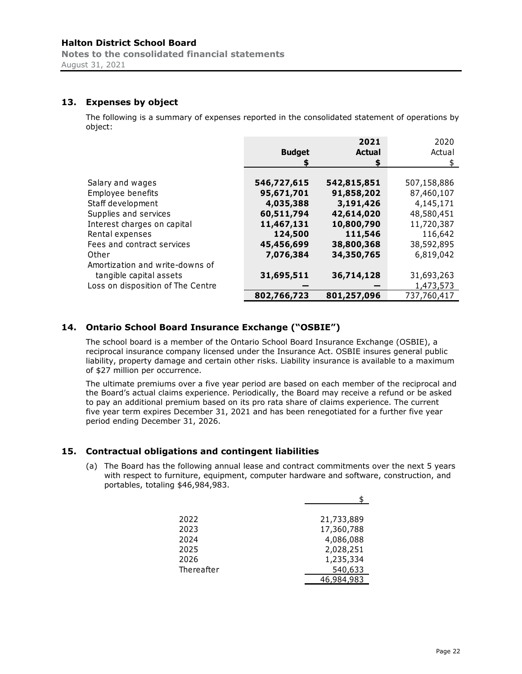**Notes to the consolidated financial statements**  August 31, 2021

# **13. Expenses by object**

The following is a summary of expenses reported in the consolidated statement of operations by object:

|                                   |               | 2021          | 2020        |
|-----------------------------------|---------------|---------------|-------------|
|                                   | <b>Budget</b> | <b>Actual</b> | Actual      |
|                                   |               | S             | S.          |
|                                   |               |               |             |
| Salary and wages                  | 546,727,615   | 542,815,851   | 507,158,886 |
| Employee benefits                 | 95,671,701    | 91,858,202    | 87,460,107  |
| Staff development                 | 4,035,388     | 3,191,426     | 4,145,171   |
| Supplies and services             | 60,511,794    | 42,614,020    | 48,580,451  |
| Interest charges on capital       | 11,467,131    | 10,800,790    | 11,720,387  |
| Rental expenses                   | 124,500       | 111,546       | 116,642     |
| Fees and contract services        | 45,456,699    | 38,800,368    | 38,592,895  |
| Other                             | 7,076,384     | 34,350,765    | 6,819,042   |
| Amortization and write-downs of   |               |               |             |
| tangible capital assets           | 31,695,511    | 36,714,128    | 31,693,263  |
| Loss on disposition of The Centre |               |               | 1,473,573   |
|                                   | 802,766,723   | 801,257,096   | 737,760,417 |

# **14. Ontario School Board Insurance Exchange ("OSBIE")**

The school board is a member of the Ontario School Board Insurance Exchange (OSBIE), a reciprocal insurance company licensed under the Insurance Act. OSBIE insures general public liability, property damage and certain other risks. Liability insurance is available to a maximum of \$27 million per occurrence.

The ultimate premiums over a five year period are based on each member of the reciprocal and the Board's actual claims experience. Periodically, the Board may receive a refund or be asked to pay an additional premium based on its pro rata share of claims experience. The current five year term expires December 31, 2021 and has been renegotiated for a further five year period ending December 31, 2026.

# **15. Contractual obligations and contingent liabilities**

(a) The Board has the following annual lease and contract commitments over the next 5 years with respect to furniture, equipment, computer hardware and software, construction, and portables, totaling \$46,984,983.

| 2022       | 21,733,889 |
|------------|------------|
| 2023       | 17,360,788 |
| 2024       | 4,086,088  |
| 2025       | 2,028,251  |
| 2026       | 1,235,334  |
| Thereafter | 540,633    |
|            | 46,984,983 |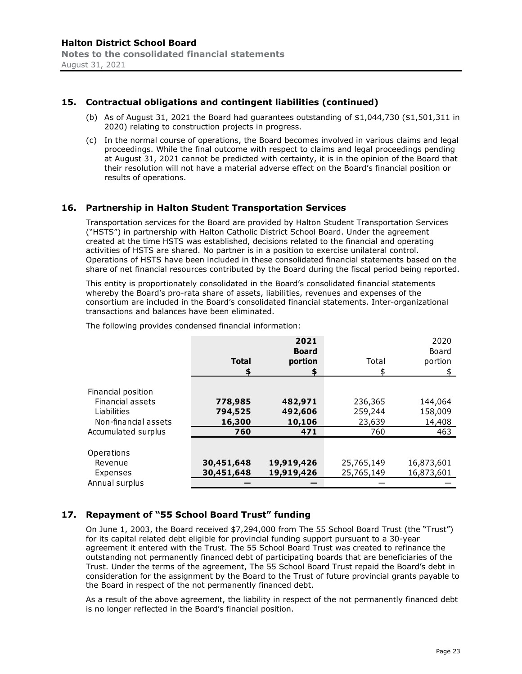# **15. Contractual obligations and contingent liabilities (continued)**

- (b) As of August 31, 2021 the Board had guarantees outstanding of  $$1,044,730$  ( $$1,501,311$  in 2020) relating to construction projects in progress.
- (c) In the normal course of operations, the Board becomes involved in various claims and legal proceedings. While the final outcome with respect to claims and legal proceedings pending at August 31, 2021 cannot be predicted with certainty, it is in the opinion of the Board that their resolution will not have a material adverse effect on the Board's financial position or results of operations.

#### **16. Partnership in Halton Student Transportation Services**

Transportation services for the Board are provided by Halton Student Transportation Services ("HSTS") in partnership with Halton Catholic District School Board. Under the agreement created at the time HSTS was established, decisions related to the financial and operating activities of HSTS are shared. No partner is in a position to exercise unilateral control. Operations of HSTS have been included in these consolidated financial statements based on the share of net financial resources contributed by the Board during the fiscal period being reported.

This entity is proportionately consolidated in the Board's consolidated financial statements whereby the Board's pro-rata share of assets, liabilities, revenues and expenses of the consortium are included in the Board's consolidated financial statements. Inter-organizational transactions and balances have been eliminated.

| The following provides condensed financial information: |  |  |  |  |
|---------------------------------------------------------|--|--|--|--|
|---------------------------------------------------------|--|--|--|--|

|                      | <b>Total</b><br>S | 2021<br><b>Board</b><br>portion<br>S | Total      | 2020<br>Board<br>portion |
|----------------------|-------------------|--------------------------------------|------------|--------------------------|
| Financial position   |                   |                                      |            |                          |
| Financial assets     | 778,985           | 482,971                              | 236,365    | 144,064                  |
| Liabilities          | 794,525           | 492,606                              | 259,244    | 158,009                  |
| Non-financial assets | 16,300            | 10,106                               | 23,639     | 14,408                   |
| Accumulated surplus  | 760               | 471                                  | 760        | 463                      |
|                      |                   |                                      |            |                          |
| Operations           |                   |                                      |            |                          |
| Revenue              | 30,451,648        | 19,919,426                           | 25,765,149 | 16,873,601               |
| Expenses             | 30,451,648        | 19,919,426                           | 25,765,149 | 16,873,601               |
| Annual surplus       |                   |                                      |            |                          |

# **17. Repayment of "55 School Board Trust" funding**

On June 1, 2003, the Board received \$7,294,000 from The 55 School Board Trust (the "Trust") for its capital related debt eligible for provincial funding support pursuant to a 30-year agreement it entered with the Trust. The 55 School Board Trust was created to refinance the outstanding not permanently financed debt of participating boards that are beneficiaries of the Trust. Under the terms of the agreement, The 55 School Board Trust repaid the Board's debt in consideration for the assignment by the Board to the Trust of future provincial grants payable to the Board in respect of the not permanently financed debt.

As a result of the above agreement, the liability in respect of the not permanently financed debt is no longer reflected in the Board's financial position.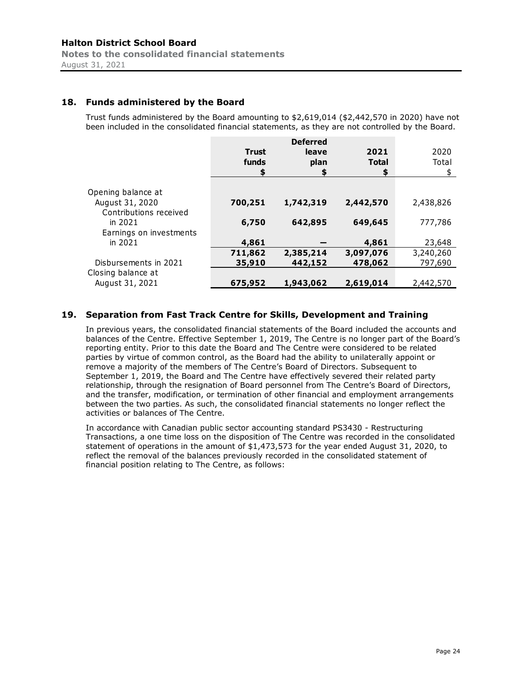# **18. Funds administered by the Board**

Trust funds administered by the Board amounting to \$2,619,014 (\$2,442,570 in 2020) have not been included in the consolidated financial statements, as they are not controlled by the Board.

|                                           | <b>Trust</b><br>funds | <b>Deferred</b><br>leave<br>plan | 2021<br><b>Total</b><br>\$ | 2020<br>Total |
|-------------------------------------------|-----------------------|----------------------------------|----------------------------|---------------|
| Opening balance at                        |                       |                                  |                            |               |
| August 31, 2020<br>Contributions received | 700,251               | 1,742,319                        | 2,442,570                  | 2,438,826     |
| in 2021<br>Earnings on investments        | 6,750                 | 642,895                          | 649,645                    | 777,786       |
| in 2021                                   | 4,861                 |                                  | 4,861                      | 23,648        |
|                                           | 711,862               | 2,385,214                        | 3,097,076                  | 3,240,260     |
| Disbursements in 2021                     | 35,910                | 442,152                          | 478,062                    | 797,690       |
| Closing balance at<br>August 31, 2021     | 675,952               | 1,943,062                        | 2,619,014                  | 2,442,570     |

# **19. Separation from Fast Track Centre for Skills, Development and Training**

In previous years, the consolidated financial statements of the Board included the accounts and balances of the Centre. Effective September 1, 2019, The Centre is no longer part of the Board's reporting entity. Prior to this date the Board and The Centre were considered to be related parties by virtue of common control, as the Board had the ability to unilaterally appoint or remove a majority of the members of The Centre's Board of Directors. Subsequent to September 1, 2019, the Board and The Centre have effectively severed their related party relationship, through the resignation of Board personnel from The Centre's Board of Directors, and the transfer, modification, or termination of other financial and employment arrangements between the two parties. As such, the consolidated financial statements no longer reflect the activities or balances of The Centre.

In accordance with Canadian public sector accounting standard PS3430 - Restructuring Transactions, a one time loss on the disposition of The Centre was recorded in the consolidated statement of operations in the amount of \$1,473,573 for the year ended August 31, 2020, to reflect the removal of the balances previously recorded in the consolidated statement of financial position relating to The Centre, as follows: